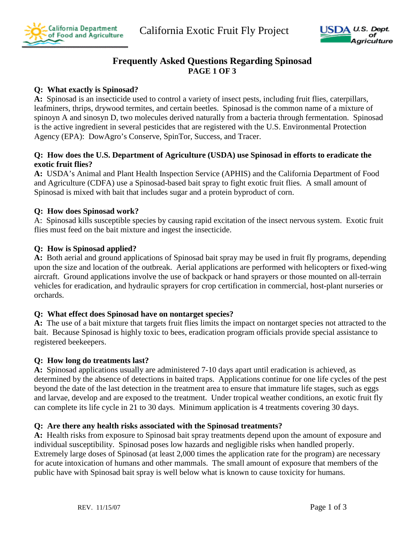California Exotic Fruit Fly Project





# **Frequently Asked Questions Regarding Spinosad PAGE 1 OF 3**

## **Q: What exactly is Spinosad?**

**A:** Spinosad is an insecticide used to control a variety of insect pests, including fruit flies, caterpillars, leafminers, thrips, drywood termites, and certain beetles. Spinosad is the common name of a mixture of spinoyn A and sinosyn D, two molecules derived naturally from a bacteria through fermentation. Spinosad is the active ingredient in several pesticides that are registered with the U.S. Environmental Protection Agency (EPA): DowAgro's Conserve, SpinTor, Success, and Tracer.

#### **Q: How does the U.S. Department of Agriculture (USDA) use Spinosad in efforts to eradicate the exotic fruit flies?**

**A:** USDA's Animal and Plant Health Inspection Service (APHIS) and the California Department of Food and Agriculture (CDFA) use a Spinosad-based bait spray to fight exotic fruit flies. A small amount of Spinosad is mixed with bait that includes sugar and a protein byproduct of corn.

## **Q: How does Spinosad work?**

A: Spinosad kills susceptible species by causing rapid excitation of the insect nervous system. Exotic fruit flies must feed on the bait mixture and ingest the insecticide.

## **Q: How is Spinosad applied?**

**A:** Both aerial and ground applications of Spinosad bait spray may be used in fruit fly programs, depending upon the size and location of the outbreak. Aerial applications are performed with helicopters or fixed-wing aircraft. Ground applications involve the use of backpack or hand sprayers or those mounted on all-terrain vehicles for eradication, and hydraulic sprayers for crop certification in commercial, host-plant nurseries or orchards.

## **Q: What effect does Spinosad have on nontarget species?**

**A:** The use of a bait mixture that targets fruit flies limits the impact on nontarget species not attracted to the bait. Because Spinosad is highly toxic to bees, eradication program officials provide special assistance to registered beekeepers.

#### **Q: How long do treatments last?**

**A:** Spinosad applications usually are administered 7-10 days apart until eradication is achieved, as determined by the absence of detections in baited traps. Applications continue for one life cycles of the pest beyond the date of the last detection in the treatment area to ensure that immature life stages, such as eggs and larvae, develop and are exposed to the treatment. Under tropical weather conditions, an exotic fruit fly can complete its life cycle in 21 to 30 days. Minimum application is 4 treatments covering 30 days.

#### **Q: Are there any health risks associated with the Spinosad treatments?**

**A:** Health risks from exposure to Spinosad bait spray treatments depend upon the amount of exposure and individual susceptibility. Spinosad poses low hazards and negligible risks when handled properly. Extremely large doses of Spinosad (at least 2,000 times the application rate for the program) are necessary for acute intoxication of humans and other mammals. The small amount of exposure that members of the public have with Spinosad bait spray is well below what is known to cause toxicity for humans.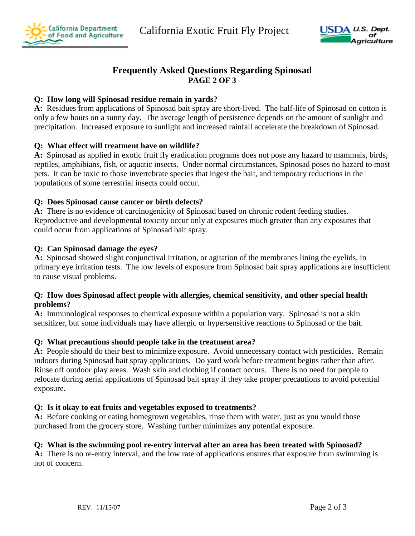





# **Frequently Asked Questions Regarding Spinosad PAGE 2 OF 3**

#### **Q: How long will Spinosad residue remain in yards?**

**A:** Residues from applications of Spinosad bait spray are short-lived. The half-life of Spinosad on cotton is only a few hours on a sunny day. The average length of persistence depends on the amount of sunlight and precipitation. Increased exposure to sunlight and increased rainfall accelerate the breakdown of Spinosad.

## **Q: What effect will treatment have on wildlife?**

**A:** Spinosad as applied in exotic fruit fly eradication programs does not pose any hazard to mammals, birds, reptiles, amphibians, fish, or aquatic insects. Under normal circumstances, Spinosad poses no hazard to most pets. It can be toxic to those invertebrate species that ingest the bait, and temporary reductions in the populations of some terrestrial insects could occur.

#### **Q: Does Spinosad cause cancer or birth defects?**

**A:** There is no evidence of carcinogenicity of Spinosad based on chronic rodent feeding studies. Reproductive and developmental toxicity occur only at exposures much greater than any exposures that could occur from applications of Spinosad bait spray.

## **Q: Can Spinosad damage the eyes?**

**A:** Spinosad showed slight conjunctival irritation, or agitation of the membranes lining the eyelids, in primary eye irritation tests. The low levels of exposure from Spinosad bait spray applications are insufficient to cause visual problems.

#### **Q: How does Spinosad affect people with allergies, chemical sensitivity, and other special health problems?**

**A:** Immunological responses to chemical exposure within a population vary. Spinosad is not a skin sensitizer, but some individuals may have allergic or hypersensitive reactions to Spinosad or the bait.

#### **Q: What precautions should people take in the treatment area?**

**A:** People should do their best to minimize exposure. Avoid unnecessary contact with pesticides. Remain indoors during Spinosad bait spray applications. Do yard work before treatment begins rather than after. Rinse off outdoor play areas. Wash skin and clothing if contact occurs. There is no need for people to relocate during aerial applications of Spinosad bait spray if they take proper precautions to avoid potential exposure.

## **Q: Is it okay to eat fruits and vegetables exposed to treatments?**

**A:** Before cooking or eating homegrown vegetables, rinse them with water, just as you would those purchased from the grocery store. Washing further minimizes any potential exposure.

#### **Q: What is the swimming pool re-entry interval after an area has been treated with Spinosad?**

**A:** There is no re-entry interval, and the low rate of applications ensures that exposure from swimming is not of concern.